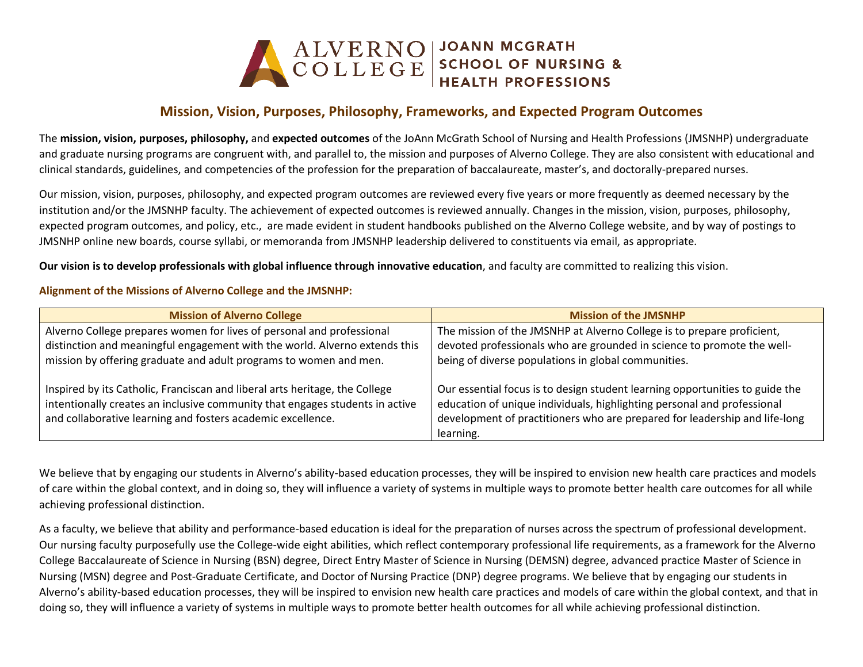

# **Mission, Vision, Purposes, Philosophy, Frameworks, and Expected Program Outcomes**

The **mission, vision, purposes, philosophy,** and **expected outcomes** of the JoAnn McGrath School of Nursing and Health Professions (JMSNHP) undergraduate and graduate nursing programs are congruent with, and parallel to, the mission and purposes of Alverno College. They are also consistent with educational and clinical standards, guidelines, and competencies of the profession for the preparation of baccalaureate, master's, and doctorally-prepared nurses.

Our mission, vision, purposes, philosophy, and expected program outcomes are reviewed every five years or more frequently as deemed necessary by the institution and/or the JMSNHP faculty. The achievement of expected outcomes is reviewed annually. Changes in the mission, vision, purposes, philosophy, expected program outcomes, and policy, etc., are made evident in student handbooks published on the Alverno College website, and by way of postings to JMSNHP online new boards, course syllabi, or memoranda from JMSNHP leadership delivered to constituents via email, as appropriate.

**Our vision is to develop professionals with global influence through innovative education**, and faculty are committed to realizing this vision.

### **Alignment of the Missions of Alverno College and the JMSNHP:**

| <b>Mission of Alverno College</b>                                                                                                                                                                                          | <b>Mission of the JMSNHP</b>                                                                                                                                                                                                          |
|----------------------------------------------------------------------------------------------------------------------------------------------------------------------------------------------------------------------------|---------------------------------------------------------------------------------------------------------------------------------------------------------------------------------------------------------------------------------------|
| Alverno College prepares women for lives of personal and professional                                                                                                                                                      | The mission of the JMSNHP at Alverno College is to prepare proficient,                                                                                                                                                                |
| distinction and meaningful engagement with the world. Alverno extends this                                                                                                                                                 | devoted professionals who are grounded in science to promote the well-                                                                                                                                                                |
| mission by offering graduate and adult programs to women and men.                                                                                                                                                          | being of diverse populations in global communities.                                                                                                                                                                                   |
| Inspired by its Catholic, Franciscan and liberal arts heritage, the College<br>intentionally creates an inclusive community that engages students in active<br>and collaborative learning and fosters academic excellence. | Our essential focus is to design student learning opportunities to guide the<br>education of unique individuals, highlighting personal and professional<br>development of practitioners who are prepared for leadership and life-long |
|                                                                                                                                                                                                                            | learning.                                                                                                                                                                                                                             |

We believe that by engaging our students in Alverno's ability-based education processes, they will be inspired to envision new health care practices and models of care within the global context, and in doing so, they will influence a variety of systems in multiple ways to promote better health care outcomes for all while achieving professional distinction.

As a faculty, we believe that ability and performance-based education is ideal for the preparation of nurses across the spectrum of professional development. Our nursing faculty purposefully use the College-wide eight abilities, which reflect contemporary professional life requirements, as a framework for the Alverno College Baccalaureate of Science in Nursing (BSN) degree, Direct Entry Master of Science in Nursing (DEMSN) degree, advanced practice Master of Science in Nursing (MSN) degree and Post-Graduate Certificate, and Doctor of Nursing Practice (DNP) degree programs. We believe that by engaging our students in Alverno's ability-based education processes, they will be inspired to envision new health care practices and models of care within the global context, and that in doing so, they will influence a variety of systems in multiple ways to promote better health outcomes for all while achieving professional distinction.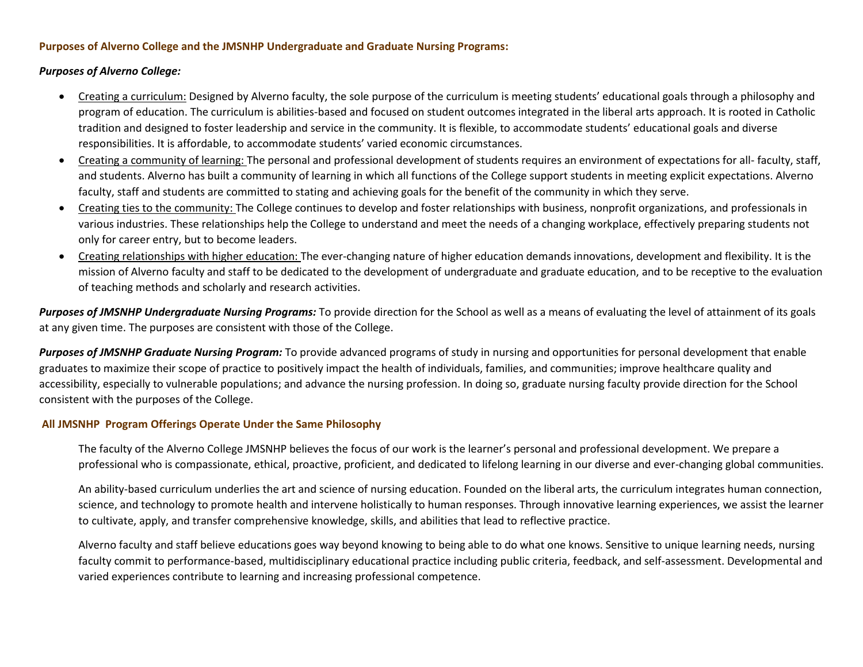#### **Purposes of Alverno College and the JMSNHP Undergraduate and Graduate Nursing Programs:**

#### *Purposes of Alverno College:*

- Creating a curriculum: Designed by Alverno faculty, the sole purpose of the curriculum is meeting students' educational goals through a philosophy and program of education. The curriculum is abilities-based and focused on student outcomes integrated in the liberal arts approach. It is rooted in Catholic tradition and designed to foster leadership and service in the community. It is flexible, to accommodate students' educational goals and diverse responsibilities. It is affordable, to accommodate students' varied economic circumstances.
- Creating a community of learning: The personal and professional development of students requires an environment of expectations for all- faculty, staff, and students. Alverno has built a community of learning in which all functions of the College support students in meeting explicit expectations. Alverno faculty, staff and students are committed to stating and achieving goals for the benefit of the community in which they serve.
- Creating ties to the community: The College continues to develop and foster relationships with business, nonprofit organizations, and professionals in various industries. These relationships help the College to understand and meet the needs of a changing workplace, effectively preparing students not only for career entry, but to become leaders.
- Creating relationships with higher education: The ever-changing nature of higher education demands innovations, development and flexibility. It is the mission of Alverno faculty and staff to be dedicated to the development of undergraduate and graduate education, and to be receptive to the evaluation of teaching methods and scholarly and research activities.

*Purposes of JMSNHP Undergraduate Nursing Programs:* To provide direction for the School as well as a means of evaluating the level of attainment of its goals at any given time. The purposes are consistent with those of the College.

*Purposes of JMSNHP Graduate Nursing Program:* To provide advanced programs of study in nursing and opportunities for personal development that enable graduates to maximize their scope of practice to positively impact the health of individuals, families, and communities; improve healthcare quality and accessibility, especially to vulnerable populations; and advance the nursing profession. In doing so, graduate nursing faculty provide direction for the School consistent with the purposes of the College.

#### **All JMSNHP Program Offerings Operate Under the Same Philosophy**

The faculty of the Alverno College JMSNHP believes the focus of our work is the learner's personal and professional development. We prepare a professional who is compassionate, ethical, proactive, proficient, and dedicated to lifelong learning in our diverse and ever-changing global communities.

An ability-based curriculum underlies the art and science of nursing education. Founded on the liberal arts, the curriculum integrates human connection, science, and technology to promote health and intervene holistically to human responses. Through innovative learning experiences, we assist the learner to cultivate, apply, and transfer comprehensive knowledge, skills, and abilities that lead to reflective practice.

Alverno faculty and staff believe educations goes way beyond knowing to being able to do what one knows. Sensitive to unique learning needs, nursing faculty commit to performance-based, multidisciplinary educational practice including public criteria, feedback, and self-assessment. Developmental and varied experiences contribute to learning and increasing professional competence.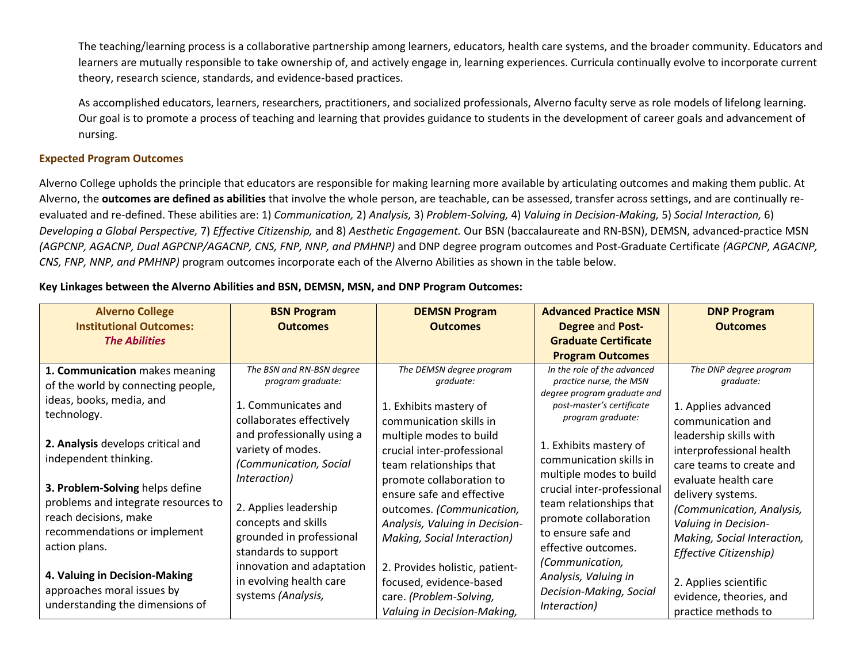The teaching/learning process is a collaborative partnership among learners, educators, health care systems, and the broader community. Educators and learners are mutually responsible to take ownership of, and actively engage in, learning experiences. Curricula continually evolve to incorporate current theory, research science, standards, and evidence-based practices.

As accomplished educators, learners, researchers, practitioners, and socialized professionals, Alverno faculty serve as role models of lifelong learning. Our goal is to promote a process of teaching and learning that provides guidance to students in the development of career goals and advancement of nursing.

# **Expected Program Outcomes**

Alverno College upholds the principle that educators are responsible for making learning more available by articulating outcomes and making them public. At Alverno, the **outcomes are defined as abilities** that involve the whole person, are teachable, can be assessed, transfer across settings, and are continually reevaluated and re-defined. These abilities are: 1) *Communication,* 2) *Analysis,* 3) *Problem-Solving,* 4) *Valuing in Decision-Making,* 5) *Social Interaction,* 6) *Developing a Global Perspective,* 7) *Effective Citizenship,* and 8) *Aesthetic Engagement.* Our BSN (baccalaureate and RN-BSN), DEMSN, advanced-practice MSN *(AGPCNP, AGACNP, Dual AGPCNP/AGACNP, CNS, FNP, NNP, and PMHNP)* and DNP degree program outcomes and Post-Graduate Certificate *(AGPCNP, AGACNP, CNS, FNP, NNP, and PMHNP)* program outcomes incorporate each of the Alverno Abilities as shown in the table below.

# **Key Linkages between the Alverno Abilities and BSN, DEMSN, MSN, and DNP Program Outcomes:**

| <b>Alverno College</b><br><b>Institutional Outcomes:</b><br><b>The Abilities</b>                                                                 | <b>BSN Program</b><br><b>Outcomes</b>                                                                                                         | <b>DEMSN Program</b><br><b>Outcomes</b>                                                                                                             | <b>Advanced Practice MSN</b><br><b>Degree and Post-</b><br><b>Graduate Certificate</b><br><b>Program Outcomes</b>                              | <b>DNP Program</b><br><b>Outcomes</b>                                                                                                                   |
|--------------------------------------------------------------------------------------------------------------------------------------------------|-----------------------------------------------------------------------------------------------------------------------------------------------|-----------------------------------------------------------------------------------------------------------------------------------------------------|------------------------------------------------------------------------------------------------------------------------------------------------|---------------------------------------------------------------------------------------------------------------------------------------------------------|
| 1. Communication makes meaning<br>of the world by connecting people,                                                                             | The BSN and RN-BSN degree<br>program graduate:                                                                                                | The DEMSN degree program<br>graduate:                                                                                                               | In the role of the advanced<br>practice nurse, the MSN<br>degree program graduate and                                                          | The DNP degree program<br>graduate:                                                                                                                     |
| ideas, books, media, and<br>technology.                                                                                                          | 1. Communicates and<br>collaborates effectively                                                                                               | 1. Exhibits mastery of<br>communication skills in                                                                                                   | post-master's certificate<br>program graduate:                                                                                                 | 1. Applies advanced<br>communication and                                                                                                                |
| 2. Analysis develops critical and<br>independent thinking.                                                                                       | and professionally using a<br>variety of modes.<br>(Communication, Social                                                                     | multiple modes to build<br>crucial inter-professional<br>team relationships that                                                                    | 1. Exhibits mastery of<br>communication skills in<br>multiple modes to build                                                                   | leadership skills with<br>interprofessional health<br>care teams to create and                                                                          |
| 3. Problem-Solving helps define<br>problems and integrate resources to<br>reach decisions, make<br>recommendations or implement<br>action plans. | Interaction)<br>2. Applies leadership<br>concepts and skills<br>grounded in professional<br>standards to support<br>innovation and adaptation | promote collaboration to<br>ensure safe and effective<br>outcomes. (Communication,<br>Analysis, Valuing in Decision-<br>Making, Social Interaction) | crucial inter-professional<br>team relationships that<br>promote collaboration<br>to ensure safe and<br>effective outcomes.<br>(Communication, | evaluate health care<br>delivery systems.<br>(Communication, Analysis,<br>Valuing in Decision-<br>Making, Social Interaction,<br>Effective Citizenship) |
| 4. Valuing in Decision-Making<br>approaches moral issues by<br>understanding the dimensions of                                                   | in evolving health care<br>systems (Analysis,                                                                                                 | 2. Provides holistic, patient-<br>focused, evidence-based<br>care. (Problem-Solving,<br>Valuing in Decision-Making,                                 | Analysis, Valuing in<br>Decision-Making, Social<br>Interaction)                                                                                | 2. Applies scientific<br>evidence, theories, and<br>practice methods to                                                                                 |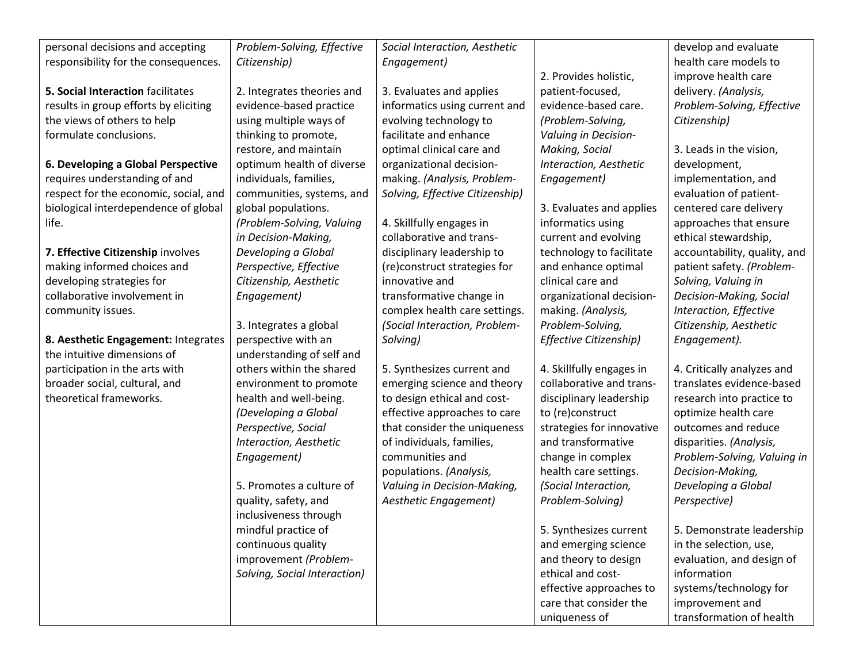| personal decisions and accepting      | Problem-Solving, Effective   | Social Interaction, Aesthetic   |                           | develop and evaluate         |
|---------------------------------------|------------------------------|---------------------------------|---------------------------|------------------------------|
| responsibility for the consequences.  | Citizenship)                 | Engagement)                     |                           | health care models to        |
|                                       |                              |                                 | 2. Provides holistic,     | improve health care          |
| 5. Social Interaction facilitates     | 2. Integrates theories and   | 3. Evaluates and applies        | patient-focused,          | delivery. (Analysis,         |
| results in group efforts by eliciting | evidence-based practice      | informatics using current and   | evidence-based care.      | Problem-Solving, Effective   |
| the views of others to help           | using multiple ways of       | evolving technology to          | (Problem-Solving,         | Citizenship)                 |
| formulate conclusions.                | thinking to promote,         | facilitate and enhance          | Valuing in Decision-      |                              |
|                                       | restore, and maintain        | optimal clinical care and       | Making, Social            | 3. Leads in the vision,      |
| 6. Developing a Global Perspective    | optimum health of diverse    | organizational decision-        | Interaction, Aesthetic    | development,                 |
| requires understanding of and         | individuals, families,       | making. (Analysis, Problem-     | Engagement)               | implementation, and          |
| respect for the economic, social, and | communities, systems, and    | Solving, Effective Citizenship) |                           | evaluation of patient-       |
| biological interdependence of global  | global populations.          |                                 | 3. Evaluates and applies  | centered care delivery       |
| life.                                 | (Problem-Solving, Valuing    | 4. Skillfully engages in        | informatics using         | approaches that ensure       |
|                                       | in Decision-Making,          | collaborative and trans-        | current and evolving      | ethical stewardship,         |
| 7. Effective Citizenship involves     | Developing a Global          | disciplinary leadership to      | technology to facilitate  | accountability, quality, and |
| making informed choices and           | Perspective, Effective       | (re)construct strategies for    | and enhance optimal       | patient safety. (Problem-    |
| developing strategies for             | Citizenship, Aesthetic       | innovative and                  | clinical care and         | Solving, Valuing in          |
| collaborative involvement in          | Engagement)                  | transformative change in        | organizational decision-  | Decision-Making, Social      |
| community issues.                     |                              | complex health care settings.   | making. (Analysis,        | Interaction, Effective       |
|                                       | 3. Integrates a global       | (Social Interaction, Problem-   | Problem-Solving,          | Citizenship, Aesthetic       |
| 8. Aesthetic Engagement: Integrates   | perspective with an          | Solving)                        | Effective Citizenship)    | Engagement).                 |
| the intuitive dimensions of           | understanding of self and    |                                 |                           |                              |
| participation in the arts with        | others within the shared     | 5. Synthesizes current and      | 4. Skillfully engages in  | 4. Critically analyzes and   |
| broader social, cultural, and         | environment to promote       | emerging science and theory     | collaborative and trans-  | translates evidence-based    |
| theoretical frameworks.               | health and well-being.       | to design ethical and cost-     | disciplinary leadership   | research into practice to    |
|                                       | (Developing a Global         | effective approaches to care    | to (re)construct          | optimize health care         |
|                                       | Perspective, Social          | that consider the uniqueness    | strategies for innovative | outcomes and reduce          |
|                                       | Interaction, Aesthetic       | of individuals, families,       | and transformative        | disparities. (Analysis,      |
|                                       | Engagement)                  | communities and                 | change in complex         | Problem-Solving, Valuing in  |
|                                       |                              | populations. (Analysis,         | health care settings.     | Decision-Making,             |
|                                       | 5. Promotes a culture of     | Valuing in Decision-Making,     | (Social Interaction,      | Developing a Global          |
|                                       | quality, safety, and         | Aesthetic Engagement)           | Problem-Solving)          | Perspective)                 |
|                                       | inclusiveness through        |                                 |                           |                              |
|                                       | mindful practice of          |                                 | 5. Synthesizes current    | 5. Demonstrate leadership    |
|                                       | continuous quality           |                                 | and emerging science      | in the selection, use,       |
|                                       | improvement (Problem-        |                                 | and theory to design      | evaluation, and design of    |
|                                       | Solving, Social Interaction) |                                 | ethical and cost-         | information                  |
|                                       |                              |                                 | effective approaches to   | systems/technology for       |
|                                       |                              |                                 | care that consider the    | improvement and              |
|                                       |                              |                                 | uniqueness of             | transformation of health     |